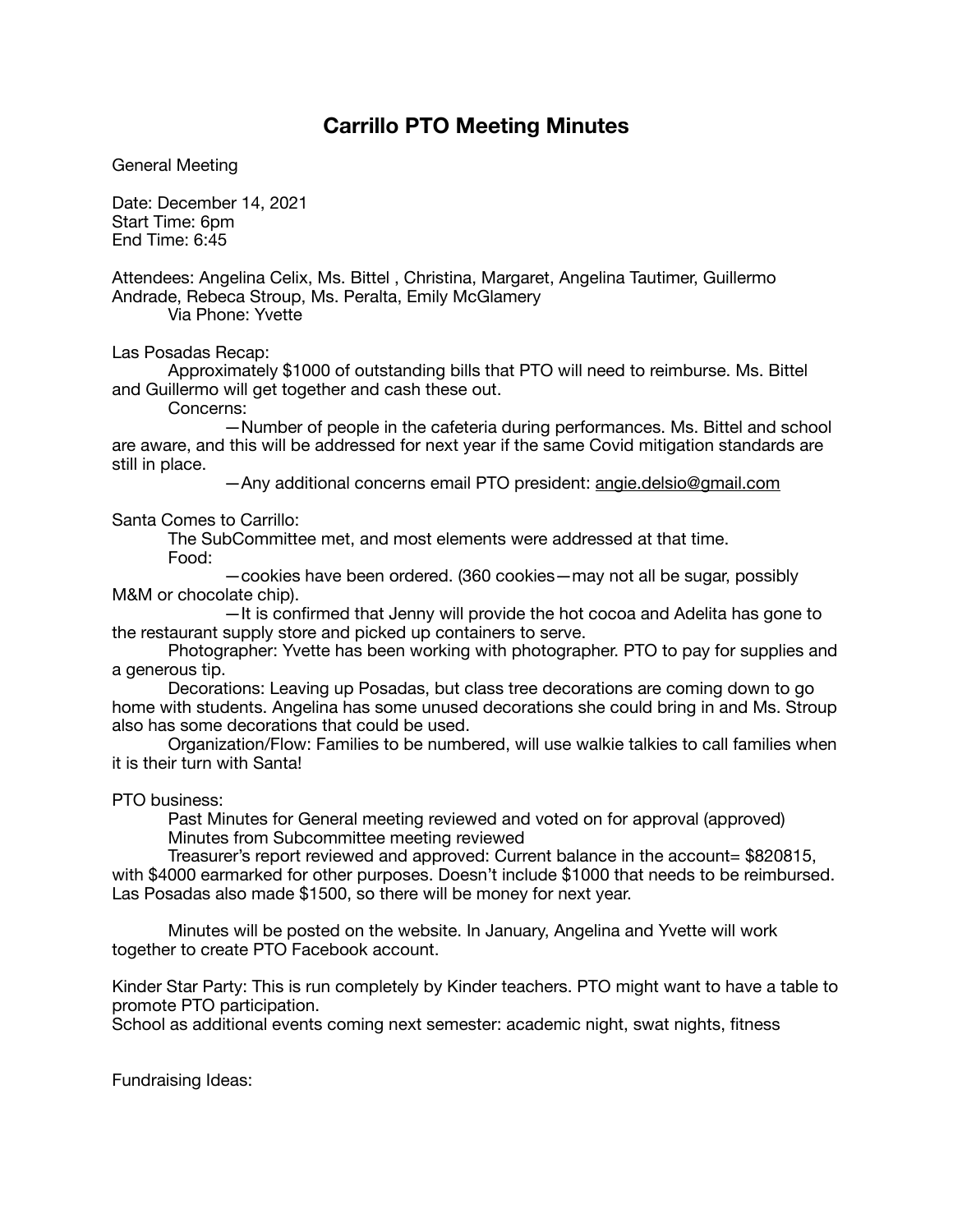## **Carrillo PTO Meeting Minutes**

General Meeting

Date: December 14, 2021 Start Time: 6pm End Time: 6:45

Attendees: Angelina Celix, Ms. Bittel , Christina, Margaret, Angelina Tautimer, Guillermo Andrade, Rebeca Stroup, Ms. Peralta, Emily McGlamery Via Phone: Yvette

Las Posadas Recap:

Approximately \$1000 of outstanding bills that PTO will need to reimburse. Ms. Bittel and Guillermo will get together and cash these out.

Concerns:

 —Number of people in the cafeteria during performances. Ms. Bittel and school are aware, and this will be addressed for next year if the same Covid mitigation standards are still in place.

 —Any additional concerns email PTO president: [angie.delsio@gmail.com](mailto:angie.delsio@gmail.com)

## Santa Comes to Carrillo:

The SubCommittee met, and most elements were addressed at that time. Food:

 —cookies have been ordered. (360 cookies—may not all be sugar, possibly M&M or chocolate chip).

 —It is confirmed that Jenny will provide the hot cocoa and Adelita has gone to the restaurant supply store and picked up containers to serve.

Photographer: Yvette has been working with photographer. PTO to pay for supplies and a generous tip.

Decorations: Leaving up Posadas, but class tree decorations are coming down to go home with students. Angelina has some unused decorations she could bring in and Ms. Stroup also has some decorations that could be used.

Organization/Flow: Families to be numbered, will use walkie talkies to call families when it is their turn with Santa!

PTO business:

Past Minutes for General meeting reviewed and voted on for approval (approved) Minutes from Subcommittee meeting reviewed

Treasurer's report reviewed and approved: Current balance in the account= \$820815, with \$4000 earmarked for other purposes. Doesn't include \$1000 that needs to be reimbursed. Las Posadas also made \$1500, so there will be money for next year.

Minutes will be posted on the website. In January, Angelina and Yvette will work together to create PTO Facebook account.

Kinder Star Party: This is run completely by Kinder teachers. PTO might want to have a table to promote PTO participation.

School as additional events coming next semester: academic night, swat nights, fitness

Fundraising Ideas: